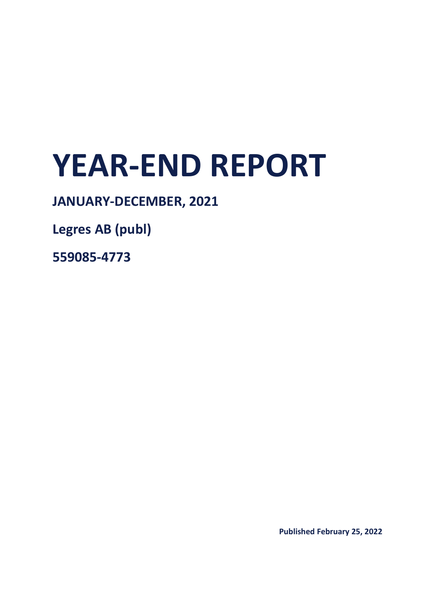# **YEAR-END REPORT**

# **JANUARY-DECEMBER, 2021**

**Legres AB (publ)**

**559085-4773**

**Published February 25, 2022**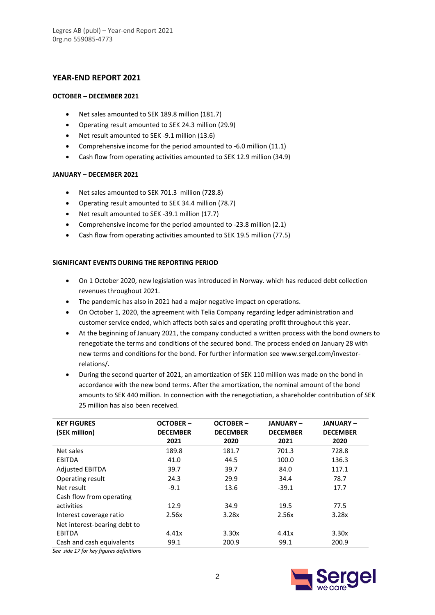# **YEAR-END REPORT 2021**

#### **OCTOBER – DECEMBER 2021**

- Net sales amounted to SEK 189.8 million (181.7)
- Operating result amounted to SEK 24.3 million (29.9)
- Net result amounted to SEK -9.1 million (13.6)
- Comprehensive income for the period amounted to -6.0 million (11.1)
- Cash flow from operating activities amounted to SEK 12.9 million (34.9)

#### **JANUARY – DECEMBER 2021**

- Net sales amounted to SEK 701.3 million (728.8)
- Operating result amounted to SEK 34.4 million (78.7)
- Net result amounted to SEK -39.1 million (17.7)
- Comprehensive income for the period amounted to -23.8 million (2.1)
- Cash flow from operating activities amounted to SEK 19.5 million (77.5)

#### **SIGNIFICANT EVENTS DURING THE REPORTING PERIOD**

- On 1 October 2020, new legislation was introduced in Norway. which has reduced debt collection revenues throughout 2021.
- The pandemic has also in 2021 had a major negative impact on operations.
- On October 1, 2020, the agreement with Telia Company regarding ledger administration and customer service ended, which affects both sales and operating profit throughout this year.
- At the beginning of January 2021, the company conducted a written process with the bond owners to renegotiate the terms and conditions of the secured bond. The process ended on January 28 with new terms and conditions for the bond. For further information see www.sergel.com/investorrelations/.
- During the second quarter of 2021, an amortization of SEK 110 million was made on the bond in accordance with the new bond terms. After the amortization, the nominal amount of the bond amounts to SEK 440 million. In connection with the renegotiation, a shareholder contribution of SEK 25 million has also been received.

| <b>KEY FIGURES</b>           | <b>OCTOBER-</b> | <b>OCTOBER-</b> | <b>JANUARY-</b> | <b>JANUARY-</b> |
|------------------------------|-----------------|-----------------|-----------------|-----------------|
| (SEK million)                | <b>DECEMBER</b> | <b>DECEMBER</b> | <b>DECEMBER</b> | <b>DECEMBER</b> |
|                              | 2021            | 2020            | 2021            | 2020            |
| Net sales                    | 189.8           | 181.7           | 701.3           | 728.8           |
| <b>EBITDA</b>                | 41.0            | 44.5            | 100.0           | 136.3           |
| <b>Adjusted EBITDA</b>       | 39.7            | 39.7            | 84.0            | 117.1           |
| Operating result             | 24.3            | 29.9            | 34.4            | 78.7            |
| Net result                   | $-9.1$          | 13.6            | $-39.1$         | 17.7            |
| Cash flow from operating     |                 |                 |                 |                 |
| activities                   | 12.9            | 34.9            | 19.5            | 77.5            |
| Interest coverage ratio      | 2.56x           | 3.28x           | 2.56x           | 3.28x           |
| Net interest-bearing debt to |                 |                 |                 |                 |
| <b>EBITDA</b>                | 4.41x           | 3.30x           | 4.41x           | 3.30x           |
| Cash and cash equivalents    | 99.1            | 200.9           | 99.1            | 200.9           |

*See side 17 for key figures definitions*

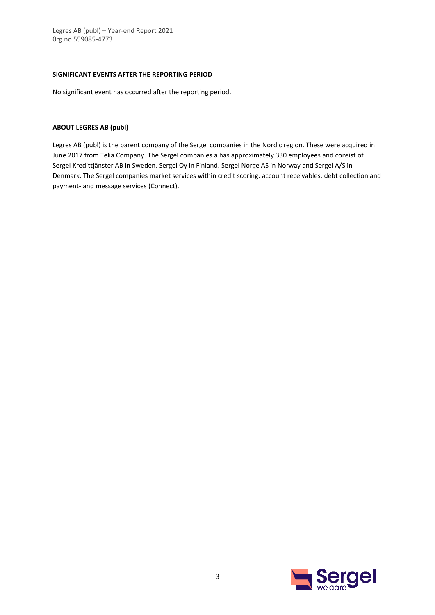#### **SIGNIFICANT EVENTS AFTER THE REPORTING PERIOD**

No significant event has occurred after the reporting period.

#### **ABOUT LEGRES AB (publ)**

Legres AB (publ) is the parent company of the Sergel companies in the Nordic region. These were acquired in June 2017 from Telia Company. The Sergel companies a has approximately 330 employees and consist of Sergel Kredittjänster AB in Sweden. Sergel Oy in Finland. Sergel Norge AS in Norway and Sergel A/S in Denmark. The Sergel companies market services within credit scoring. account receivables. debt collection and payment- and message services (Connect).

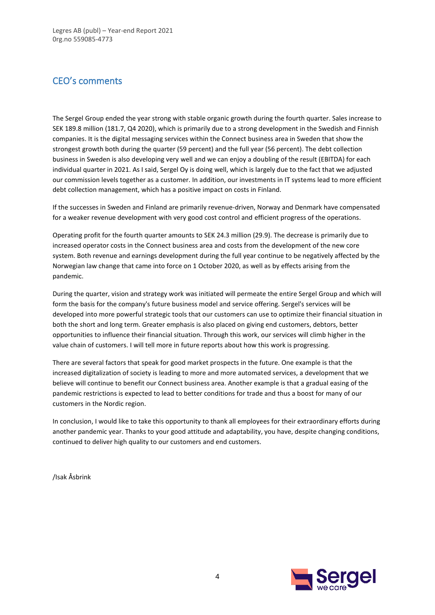# CEO's comments

The Sergel Group ended the year strong with stable organic growth during the fourth quarter. Sales increase to SEK 189.8 million (181.7, Q4 2020), which is primarily due to a strong development in the Swedish and Finnish companies. It is the digital messaging services within the Connect business area in Sweden that show the strongest growth both during the quarter (59 percent) and the full year (56 percent). The debt collection business in Sweden is also developing very well and we can enjoy a doubling of the result (EBITDA) for each individual quarter in 2021. As I said, Sergel Oy is doing well, which is largely due to the fact that we adjusted our commission levels together as a customer. In addition, our investments in IT systems lead to more efficient debt collection management, which has a positive impact on costs in Finland.

If the successes in Sweden and Finland are primarily revenue-driven, Norway and Denmark have compensated for a weaker revenue development with very good cost control and efficient progress of the operations.

Operating profit for the fourth quarter amounts to SEK 24.3 million (29.9). The decrease is primarily due to increased operator costs in the Connect business area and costs from the development of the new core system. Both revenue and earnings development during the full year continue to be negatively affected by the Norwegian law change that came into force on 1 October 2020, as well as by effects arising from the pandemic.

During the quarter, vision and strategy work was initiated will permeate the entire Sergel Group and which will form the basis for the company's future business model and service offering. Sergel's services will be developed into more powerful strategic tools that our customers can use to optimize their financial situation in both the short and long term. Greater emphasis is also placed on giving end customers, debtors, better opportunities to influence their financial situation. Through this work, our services will climb higher in the value chain of customers. I will tell more in future reports about how this work is progressing.

There are several factors that speak for good market prospects in the future. One example is that the increased digitalization of society is leading to more and more automated services, a development that we believe will continue to benefit our Connect business area. Another example is that a gradual easing of the pandemic restrictions is expected to lead to better conditions for trade and thus a boost for many of our customers in the Nordic region.

In conclusion, I would like to take this opportunity to thank all employees for their extraordinary efforts during another pandemic year. Thanks to your good attitude and adaptability, you have, despite changing conditions, continued to deliver high quality to our customers and end customers.

/Isak Åsbrink

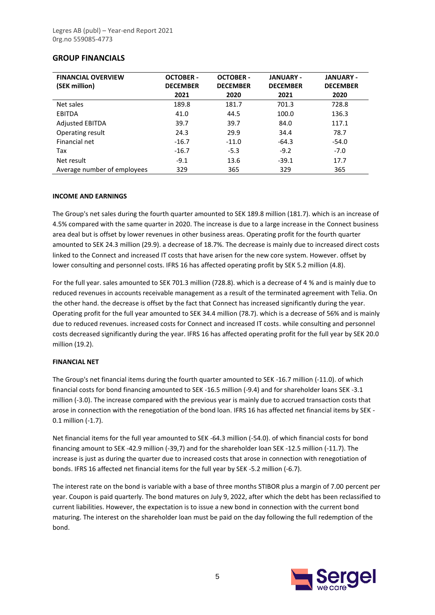# **GROUP FINANCIALS**

| <b>FINANCIAL OVERVIEW</b><br>(SEK million) | <b>OCTOBER -</b><br><b>DECEMBER</b> | <b>OCTOBER -</b><br><b>DECEMBER</b> | <b>JANUARY -</b><br><b>DECEMBER</b> | <b>JANUARY -</b><br><b>DECEMBER</b> |
|--------------------------------------------|-------------------------------------|-------------------------------------|-------------------------------------|-------------------------------------|
|                                            | 2021                                | 2020                                | 2021                                | 2020                                |
| Net sales                                  | 189.8                               | 181.7                               | 701.3                               | 728.8                               |
| EBITDA                                     | 41.0                                | 44.5                                | 100.0                               | 136.3                               |
| <b>Adjusted EBITDA</b>                     | 39.7                                | 39.7                                | 84.0                                | 117.1                               |
| Operating result                           | 24.3                                | 29.9                                | 34.4                                | 78.7                                |
| Financial net                              | $-16.7$                             | $-11.0$                             | $-64.3$                             | $-54.0$                             |
| Tax                                        | $-16.7$                             | $-5.3$                              | $-9.2$                              | $-7.0$                              |
| Net result                                 | $-9.1$                              | 13.6                                | $-39.1$                             | 17.7                                |
| Average number of employees                | 329                                 | 365                                 | 329                                 | 365                                 |

#### **INCOME AND EARNINGS**

The Group's net sales during the fourth quarter amounted to SEK 189.8 million (181.7). which is an increase of 4.5% compared with the same quarter in 2020. The increase is due to a large increase in the Connect business area deal but is offset by lower revenues in other business areas. Operating profit for the fourth quarter amounted to SEK 24.3 million (29.9). a decrease of 18.7%. The decrease is mainly due to increased direct costs linked to the Connect and increased IT costs that have arisen for the new core system. However. offset by lower consulting and personnel costs. IFRS 16 has affected operating profit by SEK 5.2 million (4.8).

For the full year. sales amounted to SEK 701.3 million (728.8). which is a decrease of 4 % and is mainly due to reduced revenues in accounts receivable management as a result of the terminated agreement with Telia. On the other hand. the decrease is offset by the fact that Connect has increased significantly during the year. Operating profit for the full year amounted to SEK 34.4 million (78.7). which is a decrease of 56% and is mainly due to reduced revenues. increased costs for Connect and increased IT costs. while consulting and personnel costs decreased significantly during the year. IFRS 16 has affected operating profit for the full year by SEK 20.0 million (19.2).

#### **FINANCIAL NET**

The Group's net financial items during the fourth quarter amounted to SEK -16.7 million (-11.0). of which financial costs for bond financing amounted to SEK -16.5 million (-9.4) and for shareholder loans SEK -3.1 million (-3.0). The increase compared with the previous year is mainly due to accrued transaction costs that arose in connection with the renegotiation of the bond loan. IFRS 16 has affected net financial items by SEK - 0.1 million (-1.7).

Net financial items for the full year amounted to SEK -64.3 million (-54.0). of which financial costs for bond financing amount to SEK -42.9 million (-39,7) and for the shareholder loan SEK -12.5 million (-11.7). The increase is just as during the quarter due to increased costs that arose in connection with renegotiation of bonds. IFRS 16 affected net financial items for the full year by SEK -5.2 million (-6.7).

The interest rate on the bond is variable with a base of three months STIBOR plus a margin of 7.00 percent per year. Coupon is paid quarterly. The bond matures on July 9, 2022, after which the debt has been reclassified to current liabilities. However, the expectation is to issue a new bond in connection with the current bond maturing. The interest on the shareholder loan must be paid on the day following the full redemption of the bond.

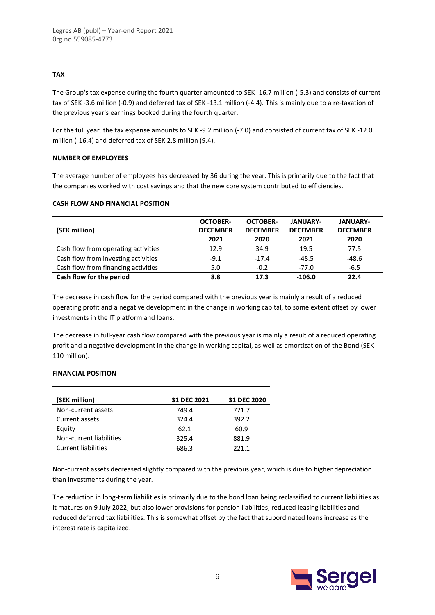#### **TAX**

The Group's tax expense during the fourth quarter amounted to SEK -16.7 million (-5.3) and consists of current tax of SEK -3.6 million (-0.9) and deferred tax of SEK -13.1 million (-4.4). This is mainly due to a re-taxation of the previous year's earnings booked during the fourth quarter.

For the full year. the tax expense amounts to SEK -9.2 million (-7.0) and consisted of current tax of SEK -12.0 million (-16.4) and deferred tax of SEK 2.8 million (9.4).

#### **NUMBER OF EMPLOYEES**

The average number of employees has decreased by 36 during the year. This is primarily due to the fact that the companies worked with cost savings and that the new core system contributed to efficiencies.

#### **CASH FLOW AND FINANCIAL POSITION**

| (SEK million)                       | <b>OCTOBER-</b><br><b>DECEMBER</b><br>2021 | <b>OCTOBER-</b><br><b>DECEMBER</b><br>2020 | <b>JANUARY-</b><br><b>DECEMBER</b><br>2021 | <b>JANUARY-</b><br><b>DECEMBER</b><br>2020 |
|-------------------------------------|--------------------------------------------|--------------------------------------------|--------------------------------------------|--------------------------------------------|
| Cash flow from operating activities | 12.9                                       | 34.9                                       | 19.5                                       | 77.5                                       |
| Cash flow from investing activities | $-9.1$                                     | $-17.4$                                    | $-48.5$                                    | -48.6                                      |
| Cash flow from financing activities | 5.0                                        | $-0.2$                                     | $-77.0$                                    | $-6.5$                                     |
| Cash flow for the period            | 8.8                                        | 17.3                                       | $-106.0$                                   | 22.4                                       |

The decrease in cash flow for the period compared with the previous year is mainly a result of a reduced operating profit and a negative development in the change in working capital, to some extent offset by lower investments in the IT platform and loans.

The decrease in full-year cash flow compared with the previous year is mainly a result of a reduced operating profit and a negative development in the change in working capital, as well as amortization of the Bond (SEK - 110 million).

#### **FINANCIAL POSITION**

| (SEK million)              | <b>31 DEC 2021</b> | 31 DEC 2020 |
|----------------------------|--------------------|-------------|
| Non-current assets         | 749.4              | 771.7       |
| Current assets             | 324.4              | 392.2       |
| Equity                     | 62.1               | 60.9        |
| Non-current liabilities    | 325.4              | 881.9       |
| <b>Current liabilities</b> | 686.3              | 221 1       |

Non-current assets decreased slightly compared with the previous year, which is due to higher depreciation than investments during the year.

The reduction in long-term liabilities is primarily due to the bond loan being reclassified to current liabilities as it matures on 9 July 2022, but also lower provisions for pension liabilities, reduced leasing liabilities and reduced deferred tax liabilities. This is somewhat offset by the fact that subordinated loans increase as the interest rate is capitalized.

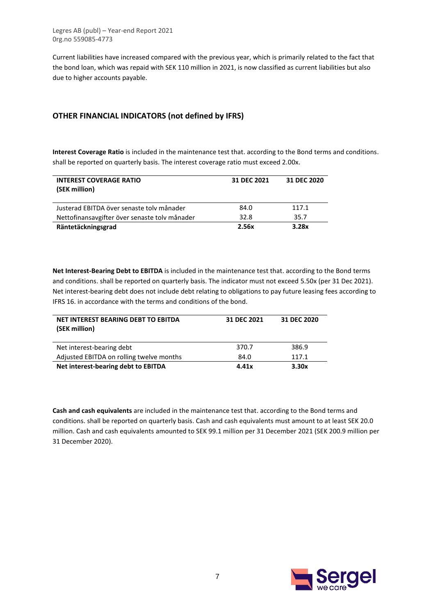Current liabilities have increased compared with the previous year, which is primarily related to the fact that the bond loan, which was repaid with SEK 110 million in 2021, is now classified as current liabilities but also due to higher accounts payable.

# **OTHER FINANCIAL INDICATORS (not defined by IFRS)**

**Interest Coverage Ratio** is included in the maintenance test that. according to the Bond terms and conditions. shall be reported on quarterly basis. The interest coverage ratio must exceed 2.00x.

| <b>INTEREST COVERAGE RATIO</b><br>(SEK million) | 31 DEC 2021 | 31 DEC 2020 |
|-------------------------------------------------|-------------|-------------|
| Justerad EBITDA över senaste toly månader       | 84.0        | 117.1       |
| Nettofinansavgifter över senaste tolv månader   | 32.8        | 35.7        |
| Räntetäckningsgrad                              | 2.56x       | 3.28x       |

**Net Interest-Bearing Debt to EBITDA** is included in the maintenance test that. according to the Bond terms and conditions. shall be reported on quarterly basis. The indicator must not exceed 5.50x (per 31 Dec 2021). Net interest-bearing debt does not include debt relating to obligations to pay future leasing fees according to IFRS 16. in accordance with the terms and conditions of the bond.

| NET INTEREST BEARING DEBT TO EBITDA<br>(SEK million) | 31 DEC 2021 | 31 DEC 2020 |
|------------------------------------------------------|-------------|-------------|
| Net interest-bearing debt                            | 370.7       | 386.9       |
| Adjusted EBITDA on rolling twelve months             | 84.0        | 117.1       |
| Net interest-bearing debt to EBITDA                  | 4.41x       | 3.30x       |

**Cash and cash equivalents** are included in the maintenance test that. according to the Bond terms and conditions. shall be reported on quarterly basis. Cash and cash equivalents must amount to at least SEK 20.0 million. Cash and cash equivalents amounted to SEK 99.1 million per 31 December 2021 (SEK 200.9 million per 31 December 2020).

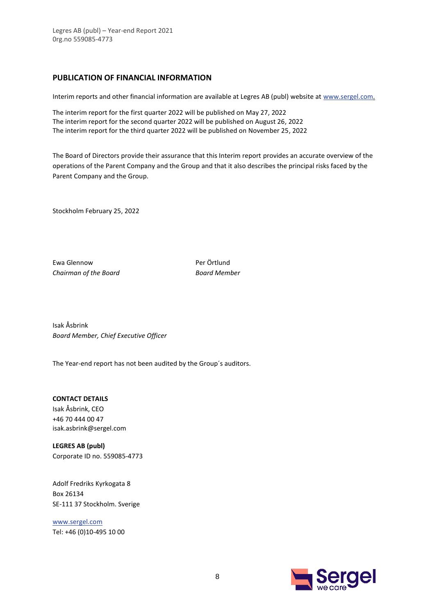# **PUBLICATION OF FINANCIAL INFORMATION**

Interim reports and other financial information are available at Legres AB (publ) website at [www.sergel.com.](http://www.sergel.com/)

The interim report for the first quarter 2022 will be published on May 27, 2022 The interim report for the second quarter 2022 will be published on August 26, 2022 The interim report for the third quarter 2022 will be published on November 25, 2022

The Board of Directors provide their assurance that this Interim report provides an accurate overview of the operations of the Parent Company and the Group and that it also describes the principal risks faced by the Parent Company and the Group.

Stockholm February 25, 2022

Ewa Glennow Per Örtlund *Chairman of the Board Board Member*

Isak Åsbrink *Board Member, Chief Executive Officer*

The Year-end report has not been audited by the Group´s auditors.

**CONTACT DETAILS**

Isak Åsbrink, CEO +46 70 444 00 47 isak.asbrink@sergel.com

**LEGRES AB (publ)** Corporate ID no. 559085-4773

Adolf Fredriks Kyrkogata 8 Box 26134 SE-111 37 Stockholm. Sverige

[www.sergel.com](http://www.sergel.com/) Tel: +46 (0)10-495 10 00

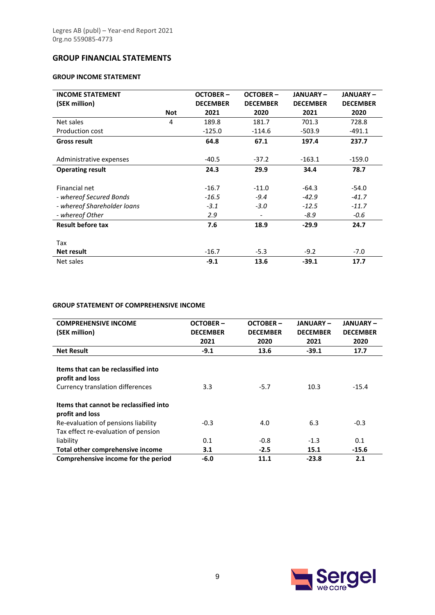# **GROUP FINANCIAL STATEMENTS**

# **GROUP INCOME STATEMENT**

| <b>INCOME STATEMENT</b><br>(SEK million) | <b>Not</b> | <b>OCTOBER-</b><br><b>DECEMBER</b><br>2021 | <b>OCTOBER-</b><br><b>DECEMBER</b><br>2020 | <b>JANUARY-</b><br><b>DECEMBER</b><br>2021 | <b>JANUARY-</b><br><b>DECEMBER</b><br>2020 |
|------------------------------------------|------------|--------------------------------------------|--------------------------------------------|--------------------------------------------|--------------------------------------------|
| Net sales                                | 4          | 189.8                                      | 181.7                                      | 701.3                                      | 728.8                                      |
| <b>Production cost</b>                   |            | $-125.0$                                   | $-114.6$                                   | $-503.9$                                   | $-491.1$                                   |
| <b>Gross result</b>                      |            | 64.8                                       | 67.1                                       | 197.4                                      | 237.7                                      |
| Administrative expenses                  |            | $-40.5$                                    | $-37.2$                                    | $-163.1$                                   | $-159.0$                                   |
| <b>Operating result</b>                  |            | 24.3                                       | 29.9                                       | 34.4                                       | 78.7                                       |
| Financial net                            |            | $-16.7$                                    | $-11.0$                                    | $-64.3$                                    | $-54.0$                                    |
| - whereof Secured Bonds                  |            | $-16.5$                                    | $-9.4$                                     | $-42.9$                                    | $-41.7$                                    |
| - whereof Shareholder loans              |            | $-3.1$                                     | $-3.0$                                     | $-12.5$                                    | $-11.7$                                    |
| - whereof Other                          |            | 2.9                                        |                                            | $-8.9$                                     | $-0.6$                                     |
| <b>Result before tax</b>                 |            | 7.6                                        | 18.9                                       | $-29.9$                                    | 24.7                                       |
| Tax                                      |            |                                            |                                            |                                            |                                            |
| <b>Net result</b>                        |            | $-16.7$                                    | $-5.3$                                     | $-9.2$                                     | $-7.0$                                     |
| Net sales                                |            | $-9.1$                                     | 13.6                                       | $-39.1$                                    | 17.7                                       |

#### **GROUP STATEMENT OF COMPREHENSIVE INCOME**

| <b>COMPREHENSIVE INCOME</b>            | <b>OCTOBER-</b> | OCTOBER-        | JANUARY –       | <b>JANUARY –</b> |
|----------------------------------------|-----------------|-----------------|-----------------|------------------|
| (SEK million)                          | <b>DECEMBER</b> | <b>DECEMBER</b> | <b>DECEMBER</b> | <b>DECEMBER</b>  |
|                                        | 2021            | 2020            | 2021            | 2020             |
| <b>Net Result</b>                      | $-9.1$          | 13.6            | $-39.1$         | 17.7             |
|                                        |                 |                 |                 |                  |
| Items that can be reclassified into    |                 |                 |                 |                  |
| profit and loss                        |                 |                 |                 |                  |
| Currency translation differences       | 3.3             | $-5.7$          | 10.3            | $-15.4$          |
|                                        |                 |                 |                 |                  |
| Items that cannot be reclassified into |                 |                 |                 |                  |
| profit and loss                        |                 |                 |                 |                  |
| Re-evaluation of pensions liability    | $-0.3$          | 4.0             | 6.3             | $-0.3$           |
| Tax effect re-evaluation of pension    |                 |                 |                 |                  |
| liability                              | 0.1             | $-0.8$          | $-1.3$          | 0.1              |
| Total other comprehensive income       | 3.1             | $-2.5$          | 15.1            | -15.6            |
| Comprehensive income for the period    | $-6.0$          | 11.1            | $-23.8$         | 2.1              |

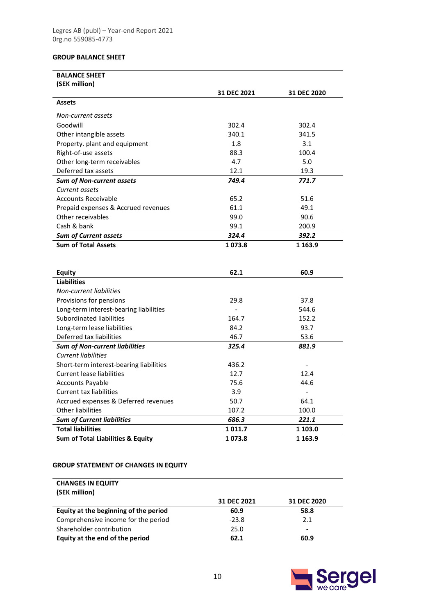# **GROUP BALANCE SHEET**

| <b>BALANCE SHEET</b>                         |                |                |
|----------------------------------------------|----------------|----------------|
| (SEK million)                                |                |                |
|                                              | 31 DEC 2021    | 31 DEC 2020    |
| <b>Assets</b>                                |                |                |
| Non-current assets                           |                |                |
| Goodwill                                     | 302.4          | 302.4          |
| Other intangible assets                      | 340.1          | 341.5          |
| Property. plant and equipment                | 1.8            | 3.1            |
| Right-of-use assets                          | 88.3           | 100.4          |
| Other long-term receivables                  | 4.7            | 5.0            |
| Deferred tax assets                          | 12.1           | 19.3           |
| <b>Sum of Non-current assets</b>             | 749.4          | 771.7          |
| Current assets                               |                |                |
| <b>Accounts Receivable</b>                   | 65.2           | 51.6           |
| Prepaid expenses & Accrued revenues          | 61.1           | 49.1           |
| Other receivables                            | 99.0           | 90.6           |
| Cash & bank                                  | 99.1           | 200.9          |
| <b>Sum of Current assets</b>                 | 324.4          | 392.2          |
| <b>Sum of Total Assets</b>                   | 1073.8         | 1 1 6 3 . 9    |
|                                              |                |                |
|                                              |                |                |
| <b>Equity</b>                                | 62.1           | 60.9           |
| <b>Liabilities</b>                           |                |                |
| <b>Non-current liabilities</b>               |                |                |
| Provisions for pensions                      | 29.8           | 37.8           |
| Long-term interest-bearing liabilities       | $\overline{a}$ | 544.6          |
| Subordinated liabilities                     | 164.7          | 152.2          |
| Long-term lease liabilities                  | 84.2           | 93.7           |
| Deferred tax liabilities                     | 46.7           | 53.6           |
| <b>Sum of Non-current liabilities</b>        | 325.4          | 881.9          |
| <b>Current liabilities</b>                   |                |                |
| Short-term interest-bearing liabilities      | 436.2          |                |
| <b>Current lease liabilities</b>             | 12.7           | 12.4           |
| <b>Accounts Payable</b>                      | 75.6           | 44.6           |
| <b>Current tax liabilities</b>               | 3.9            | $\overline{a}$ |
| Accrued expenses & Deferred revenues         | 50.7           | 64.1           |
| <b>Other liabilities</b>                     | 107.2          | 100.0          |
| <b>Sum of Current liabilities</b>            | 686.3          | 221.1          |
| <b>Total liabilities</b>                     | 1011.7         | 1 103.0        |
| <b>Sum of Total Liabilities &amp; Equity</b> | 1073.8         | 1 1 6 3 . 9    |

# **GROUP STATEMENT OF CHANGES IN EQUITY**

| <b>CHANGES IN EQUITY</b>              |             |                          |
|---------------------------------------|-------------|--------------------------|
| (SEK million)                         |             |                          |
|                                       | 31 DEC 2021 | 31 DEC 2020              |
| Equity at the beginning of the period | 60.9        | 58.8                     |
| Comprehensive income for the period   | $-23.8$     | 2.1                      |
| Shareholder contribution              | 25.0        | $\overline{\phantom{a}}$ |
| Equity at the end of the period       | 62.1        | 60.9                     |

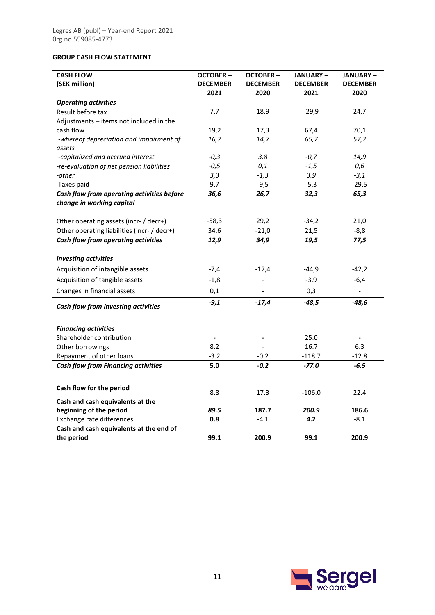# **GROUP CASH FLOW STATEMENT**

| <b>CASH FLOW</b>                                     | <b>OCTOBER-</b> | <b>OCTOBER-</b> | <b>JANUARY-</b> | <b>JANUARY-</b>          |
|------------------------------------------------------|-----------------|-----------------|-----------------|--------------------------|
| (SEK million)                                        | <b>DECEMBER</b> | <b>DECEMBER</b> | <b>DECEMBER</b> | <b>DECEMBER</b>          |
| <b>Operating activities</b>                          | 2021            | 2020            | 2021            | 2020                     |
| Result before tax                                    | 7,7             | 18,9            | $-29,9$         | 24,7                     |
| Adjustments – items not included in the              |                 |                 |                 |                          |
| cash flow                                            | 19,2            | 17,3            | 67,4            | 70,1                     |
| -whereof depreciation and impairment of              | 16,7            | 14,7            | 65,7            | 57,7                     |
| assets                                               |                 |                 |                 |                          |
| -capitalized and accrued interest                    | $-0,3$          | 3,8             | $-0,7$          | 14,9                     |
| -re-evaluation of net pension liabilities            | $-0,5$          | 0,1             | $-1,5$          | 0,6                      |
| -other                                               | 3,3             | $-1,3$          | 3,9             | $-3,1$                   |
| Taxes paid                                           | 9,7             | $-9,5$          | $-5,3$          | $-29,5$                  |
| Cash flow from operating activities before           | 36,6            | 26,7            | 32,3            | 65,3                     |
| change in working capital                            |                 |                 |                 |                          |
| Other operating assets (incr- / decr+)               | $-58,3$         | 29,2            | $-34,2$         | 21,0                     |
| Other operating liabilities (incr- / decr+)          | 34,6            | $-21,0$         | 21,5            | $-8,8$                   |
| Cash flow from operating activities                  | 12,9            | 34,9            | 19,5            | 77,5                     |
| <b>Investing activities</b>                          |                 |                 |                 |                          |
| Acquisition of intangible assets                     | $-7,4$          | $-17,4$         | $-44,9$         | $-42,2$                  |
| Acquisition of tangible assets                       | $-1,8$          |                 | $-3,9$          | $-6,4$                   |
| Changes in financial assets                          | 0,1             |                 | 0,3             | $\overline{\phantom{a}}$ |
| Cash flow from investing activities                  | $-9,1$          | $-17,4$         | $-48,5$         | -48,6                    |
|                                                      |                 |                 |                 |                          |
| <b>Financing activities</b>                          |                 |                 |                 |                          |
| Shareholder contribution                             |                 |                 | 25.0            |                          |
| Other borrowings                                     | 8.2             |                 | 16.7            | 6.3                      |
| Repayment of other loans                             | $-3.2$          | $-0.2$          | $-118.7$        | $-12.8$                  |
| <b>Cash flow from Financing activities</b>           | 5.0             | $-0.2$          | $-77.0$         | $-6.5$                   |
| Cash flow for the period                             |                 |                 |                 |                          |
|                                                      | 8.8             | 17.3            | $-106.0$        | 22.4                     |
| Cash and cash equivalents at the                     | 89.5            | 187.7           |                 | 186.6                    |
| beginning of the period<br>Exchange rate differences | 0.8             | $-4.1$          | 200.9<br>4.2    | $-8.1$                   |
| Cash and cash equivalents at the end of              |                 |                 |                 |                          |
| the period                                           | 99.1            | 200.9           | 99.1            | 200.9                    |

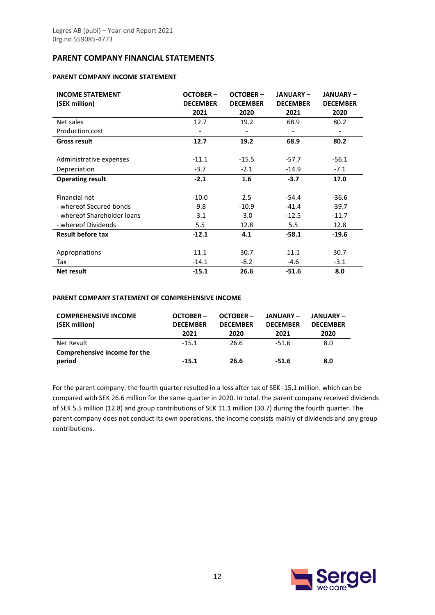# **PARENT COMPANY FINANCIAL STATEMENTS**

#### **PARENT COMPANY INCOME STATEMENT**

| <b>INCOME STATEMENT</b><br>(SEK million) | <b>OCTOBER-</b><br><b>DECEMBER</b> | <b>OCTOBER-</b><br><b>DECEMBER</b> | <b>JANUARY-</b><br><b>DECEMBER</b> | <b>JANUARY-</b><br><b>DECEMBER</b> |
|------------------------------------------|------------------------------------|------------------------------------|------------------------------------|------------------------------------|
|                                          | 2021                               | 2020                               | 2021                               | 2020                               |
| Net sales                                | 12.7                               | 19.2                               | 68.9                               | 80.2                               |
| Production cost                          |                                    |                                    |                                    |                                    |
| <b>Gross result</b>                      | 12.7                               | 19.2                               | 68.9                               | 80.2                               |
|                                          |                                    |                                    |                                    |                                    |
| Administrative expenses                  | $-11.1$                            | $-15.5$                            | $-57.7$                            | $-56.1$                            |
| Depreciation                             | $-3.7$                             | $-2.1$                             | $-14.9$                            | $-7.1$                             |
| <b>Operating result</b>                  | $-2.1$                             | 1.6                                | $-3.7$                             | 17.0                               |
| Financial net                            | $-10.0$                            | 2.5                                | $-54.4$                            | $-36.6$                            |
| - whereof Secured bonds                  | $-9.8$                             | $-10.9$                            | $-41.4$                            | $-39.7$                            |
| - whereof Shareholder Joans              | $-3.1$                             | $-3.0$                             | $-12.5$                            | $-11.7$                            |
| - whereof Dividends                      | 5.5                                | 12.8                               | 5.5                                | 12.8                               |
| <b>Result before tax</b>                 | $-12.1$                            | 4.1                                | $-58.1$                            | $-19.6$                            |
| Appropriations                           | 11.1                               | 30.7                               | 11.1                               | 30.7                               |
| Tax                                      | $-14.1$                            | $-8.2$                             | -4.6                               | $-3.1$                             |
| <b>Net result</b>                        | $-15.1$                            | 26.6                               | $-51.6$                            | 8.0                                |

#### **PARENT COMPANY STATEMENT OF COMPREHENSIVE INCOME**

| <b>COMPREHENSIVE INCOME</b><br>(SEK million) | $OCTOBER -$<br><b>DECEMBER</b><br>2021 | $OCTOBER -$<br><b>DECEMBER</b><br>2020 | <b>JANUARY –</b><br><b>DECEMBER</b><br>2021 | <b>JANUARY –</b><br><b>DECEMBER</b><br>2020 |
|----------------------------------------------|----------------------------------------|----------------------------------------|---------------------------------------------|---------------------------------------------|
| Net Result                                   | $-15.1$                                | 26.6                                   | $-51.6$                                     | 8.0                                         |
| Comprehensive income for the<br>period       | $-15.1$                                | 26.6                                   | $-51.6$                                     | 8.0                                         |

For the parent company. the fourth quarter resulted in a loss after tax of SEK -15,1 million. which can be compared with SEK 26.6 million for the same quarter in 2020. In total. the parent company received dividends of SEK 5.5 million (12.8) and group contributions of SEK 11.1 million (30.7) during the fourth quarter. The parent company does not conduct its own operations. the income consists mainly of dividends and any group contributions.

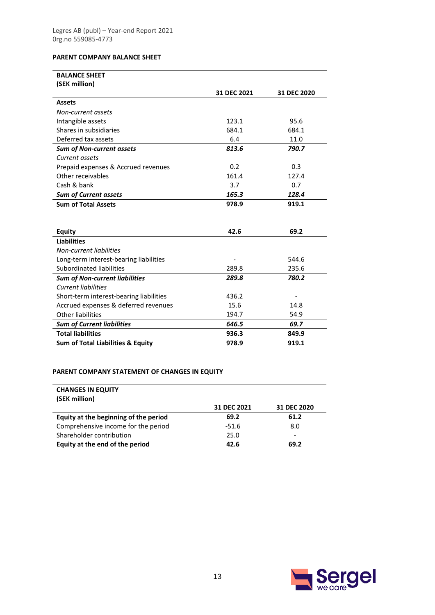# **PARENT COMPANY BALANCE SHEET**

| <b>BALANCE SHEET</b>                         |             |             |
|----------------------------------------------|-------------|-------------|
| (SEK million)                                |             |             |
|                                              | 31 DEC 2021 | 31 DEC 2020 |
| <b>Assets</b>                                |             |             |
| Non-current assets                           |             |             |
| Intangible assets                            | 123.1       | 95.6        |
| Shares in subsidiaries                       | 684.1       | 684.1       |
| Deferred tax assets                          | 6.4         | 11.0        |
| <b>Sum of Non-current assets</b>             | 813.6       | 790.7       |
| Current assets                               |             |             |
| Prepaid expenses & Accrued revenues          | 0.2         | 0.3         |
| Other receivables                            | 161.4       | 127.4       |
| Cash & bank                                  | 3.7         | 0.7         |
| <b>Sum of Current assets</b>                 | 165.3       | 128.4       |
| <b>Sum of Total Assets</b>                   | 978.9       | 919.1       |
|                                              |             |             |
|                                              |             |             |
| <b>Equity</b>                                | 42.6        | 69.2        |
| <b>Liabilities</b>                           |             |             |
| <b>Non-current liabilities</b>               |             |             |
| Long-term interest-bearing liabilities       |             | 544.6       |
| Subordinated liabilities                     | 289.8       | 235.6       |
| <b>Sum of Non-current liabilities</b>        | 289.8       | 780.2       |
| <b>Current liabilities</b>                   |             |             |
| Short-term interest-bearing liabilities      | 436.2       |             |
| Accrued expenses & deferred revenues         | 15.6        | 14.8        |
| Other liabilities                            | 194.7       | 54.9        |
| <b>Sum of Current liabilities</b>            | 646.5       | 69.7        |
| <b>Total liabilities</b>                     | 936.3       | 849.9       |
| <b>Sum of Total Liabilities &amp; Equity</b> | 978.9       | 919.1       |

# **PARENT COMPANY STATEMENT OF CHANGES IN EQUITY**

| <b>CHANGES IN EQUITY</b><br>(SEK million) |             |             |
|-------------------------------------------|-------------|-------------|
|                                           | 31 DEC 2021 | 31 DEC 2020 |
| Equity at the beginning of the period     | 69.2        | 61.2        |
| Comprehensive income for the period       | $-51.6$     | 8.0         |
| Shareholder contribution                  | 25.0        | -           |
| Equity at the end of the period           | 42.6        | 69.2        |

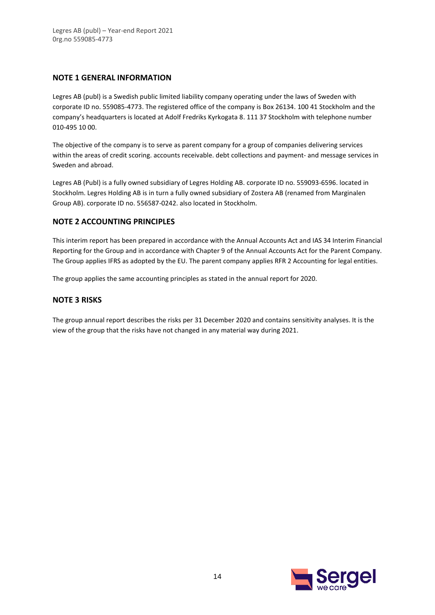# **NOTE 1 GENERAL INFORMATION**

Legres AB (publ) is a Swedish public limited liability company operating under the laws of Sweden with corporate ID no. 559085-4773. The registered office of the company is Box 26134. 100 41 Stockholm and the company's headquarters is located at Adolf Fredriks Kyrkogata 8. 111 37 Stockholm with telephone number 010-495 10 00.

The objective of the company is to serve as parent company for a group of companies delivering services within the areas of credit scoring. accounts receivable. debt collections and payment- and message services in Sweden and abroad.

Legres AB (Publ) is a fully owned subsidiary of Legres Holding AB. corporate ID no. 559093-6596. located in Stockholm. Legres Holding AB is in turn a fully owned subsidiary of Zostera AB (renamed from Marginalen Group AB). corporate ID no. 556587-0242. also located in Stockholm.

# **NOTE 2 ACCOUNTING PRINCIPLES**

This interim report has been prepared in accordance with the Annual Accounts Act and IAS 34 Interim Financial Reporting for the Group and in accordance with Chapter 9 of the Annual Accounts Act for the Parent Company. The Group applies IFRS as adopted by the EU. The parent company applies RFR 2 Accounting for legal entities.

The group applies the same accounting principles as stated in the annual report for 2020.

# **NOTE 3 RISKS**

The group annual report describes the risks per 31 December 2020 and contains sensitivity analyses. It is the view of the group that the risks have not changed in any material way during 2021.

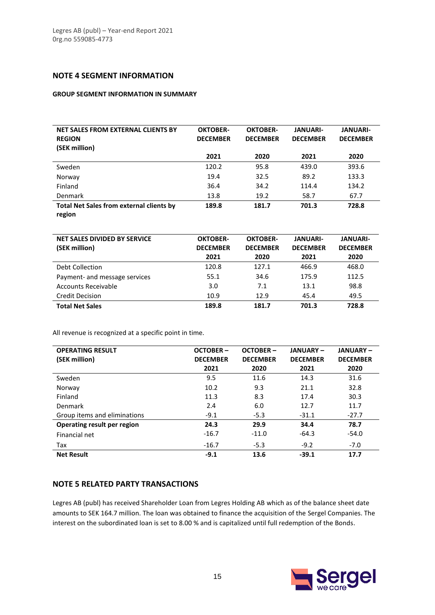# **NOTE 4 SEGMENT INFORMATION**

#### **GROUP SEGMENT INFORMATION IN SUMMARY**

| NET SALES FROM EXTERNAL CLIENTS BY<br><b>REGION</b><br>(SEK million) | <b>OKTOBER-</b><br><b>DECEMBER</b> | <b>OKTOBER-</b><br><b>DECEMBER</b> | <b>JANUARI-</b><br><b>DECEMBER</b> | <b>JANUARI-</b><br><b>DECEMBER</b> |
|----------------------------------------------------------------------|------------------------------------|------------------------------------|------------------------------------|------------------------------------|
|                                                                      | 2021                               | 2020                               | 2021                               | 2020                               |
| Sweden                                                               | 120.2                              | 95.8                               | 439.0                              | 393.6                              |
| Norway                                                               | 19.4                               | 32.5                               | 89.2                               | 133.3                              |
| Finland                                                              | 36.4                               | 34.2                               | 114.4                              | 134.2                              |
| Denmark                                                              | 13.8                               | 19.2                               | 58.7                               | 67.7                               |
| <b>Total Net Sales from external clients by</b>                      | 189.8                              | 181.7                              | 701.3                              | 728.8                              |
| region                                                               |                                    |                                    |                                    |                                    |

| NET SALES DIVIDED BY SERVICE<br>(SEK million) | <b>OKTOBER-</b><br><b>DECEMBER</b><br>2021 | <b>OKTOBER-</b><br><b>DECEMBER</b><br>2020 | <b>JANUARI-</b><br><b>DECEMBER</b><br>2021 | <b>JANUARI-</b><br><b>DECEMBER</b><br>2020 |
|-----------------------------------------------|--------------------------------------------|--------------------------------------------|--------------------------------------------|--------------------------------------------|
| Debt Collection                               | 120.8                                      | 127.1                                      | 466.9                                      | 468.0                                      |
| Payment- and message services                 | 55.1                                       | 34.6                                       | 175.9                                      | 112.5                                      |
| Accounts Receivable                           | 3.0                                        | 7.1                                        | 13.1                                       | 98.8                                       |
| <b>Credit Decision</b>                        | 10.9                                       | 12.9                                       | 45.4                                       | 49.5                                       |
| <b>Total Net Sales</b>                        | 189.8                                      | 181.7                                      | 701.3                                      | 728.8                                      |

All revenue is recognized at a specific point in time.

| <b>OPERATING RESULT</b>      | <b>OCTOBER-</b> | <b>OCTOBER-</b> | <b>JANUARY-</b> | <b>JANUARY-</b> |
|------------------------------|-----------------|-----------------|-----------------|-----------------|
| (SEK million)                | <b>DECEMBER</b> | <b>DECEMBER</b> | <b>DECEMBER</b> | <b>DECEMBER</b> |
|                              | 2021            | 2020            | 2021            | 2020            |
| Sweden                       | 9.5             | 11.6            | 14.3            | 31.6            |
| Norway                       | 10.2            | 9.3             | 21.1            | 32.8            |
| Finland                      | 11.3            | 8.3             | 17.4            | 30.3            |
| Denmark                      | 2.4             | 6.0             | 12.7            | 11.7            |
| Group items and eliminations | $-9.1$          | $-5.3$          | $-31.1$         | $-27.7$         |
| Operating result per region  | 24.3            | 29.9            | 34.4            | 78.7            |
| Financial net                | $-16.7$         | $-11.0$         | $-64.3$         | $-54.0$         |
| Tax                          | $-16.7$         | $-5.3$          | $-9.2$          | $-7.0$          |
| <b>Net Result</b>            | $-9.1$          | 13.6            | $-39.1$         | 17.7            |

# **NOTE 5 RELATED PARTY TRANSACTIONS**

Legres AB (publ) has received Shareholder Loan from Legres Holding AB which as of the balance sheet date amounts to SEK 164.7 million. The loan was obtained to finance the acquisition of the Sergel Companies. The interest on the subordinated loan is set to 8.00 % and is capitalized until full redemption of the Bonds.

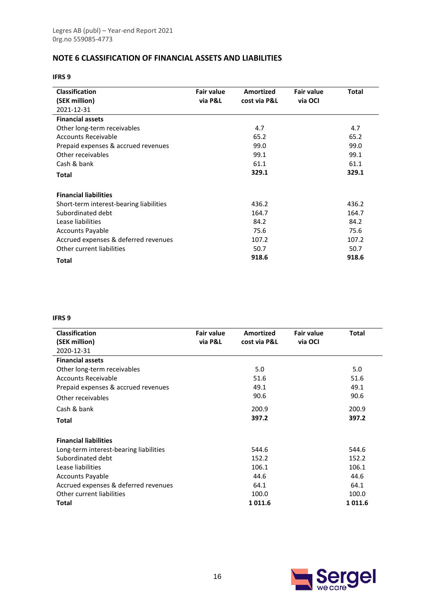# **NOTE 6 CLASSIFICATION OF FINANCIAL ASSETS AND LIABILITIES**

**IFRS 9**

| <b>Classification</b>                   | <b>Fair value</b> | Amortized    | <b>Fair value</b> | Total |
|-----------------------------------------|-------------------|--------------|-------------------|-------|
| (SEK million)                           | via P&L           | cost via P&L | via OCI           |       |
| 2021-12-31                              |                   |              |                   |       |
| <b>Financial assets</b>                 |                   |              |                   |       |
| Other long-term receivables             |                   | 4.7          |                   | 4.7   |
| Accounts Receivable                     |                   | 65.2         |                   | 65.2  |
| Prepaid expenses & accrued revenues     |                   | 99.0         |                   | 99.0  |
| Other receivables                       |                   | 99.1         |                   | 99.1  |
| Cash & bank                             |                   | 61.1         |                   | 61.1  |
| Total                                   |                   | 329.1        |                   | 329.1 |
| <b>Financial liabilities</b>            |                   |              |                   |       |
| Short-term interest-bearing liabilities |                   | 436.2        |                   | 436.2 |
| Subordinated debt                       |                   | 164.7        |                   | 164.7 |
| Lease liabilities                       |                   | 84.2         |                   | 84.2  |
| <b>Accounts Payable</b>                 |                   | 75.6         |                   | 75.6  |
| Accrued expenses & deferred revenues    |                   | 107.2        |                   | 107.2 |
| Other current liabilities               |                   | 50.7         |                   | 50.7  |
| Total                                   |                   | 918.6        |                   | 918.6 |

#### **IFRS 9**

| <b>Classification</b>                  | <b>Fair value</b> | Amortized    | <b>Fair value</b> | Total  |
|----------------------------------------|-------------------|--------------|-------------------|--------|
| (SEK million)                          | via P&L           | cost via P&L | via OCI           |        |
| 2020-12-31                             |                   |              |                   |        |
| <b>Financial assets</b>                |                   |              |                   |        |
| Other long-term receivables            |                   | 5.0          |                   | 5.0    |
| Accounts Receivable                    |                   | 51.6         |                   | 51.6   |
| Prepaid expenses & accrued revenues    |                   | 49.1         |                   | 49.1   |
| Other receivables                      |                   | 90.6         |                   | 90.6   |
| Cash & bank                            |                   | 200.9        |                   | 200.9  |
| <b>Total</b>                           |                   | 397.2        |                   | 397.2  |
| <b>Financial liabilities</b>           |                   |              |                   |        |
| Long-term interest-bearing liabilities |                   | 544.6        |                   | 544.6  |
| Subordinated debt                      |                   | 152.2        |                   | 152.2  |
| Lease liabilities                      |                   | 106.1        |                   | 106.1  |
| <b>Accounts Payable</b>                |                   | 44.6         |                   | 44.6   |
| Accrued expenses & deferred revenues   |                   | 64.1         |                   | 64.1   |
| Other current liabilities              |                   | 100.0        |                   | 100.0  |
| Total                                  |                   | 1011.6       |                   | 1011.6 |